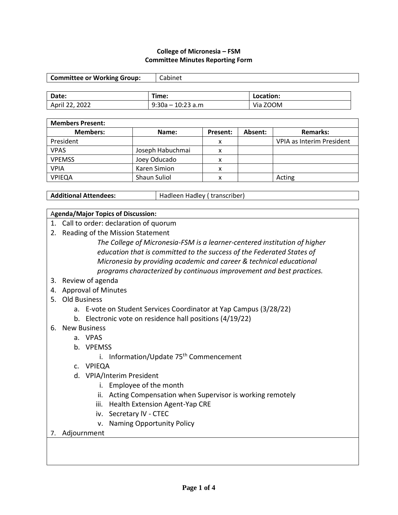#### **College of Micronesia – FSM Committee Minutes Reporting Form**

| <b>Committee or Working Group:</b> | Cabinet             |           |  |
|------------------------------------|---------------------|-----------|--|
|                                    |                     |           |  |
| Date:                              | Time:               | Location: |  |
| April 22, 2022                     | $9:30a - 10:23 a.m$ | Via ZOOM  |  |

| <b>Members Present:</b> |                     |          |         |                           |
|-------------------------|---------------------|----------|---------|---------------------------|
| <b>Members:</b>         | Name:               | Present: | Absent: | <b>Remarks:</b>           |
| President               |                     | x        |         | VPIA as Interim President |
| <b>VPAS</b>             | Joseph Habuchmai    | x        |         |                           |
| <b>VPEMSS</b>           | Joey Oducado        | л        |         |                           |
| <b>VPIA</b>             | Karen Simion        | x        |         |                           |
| <b>VPIEQA</b>           | <b>Shaun Suliol</b> | x        |         | Acting                    |

Additional Attendees: **Hadleen Hadley (** transcriber)

#### A**genda/Major Topics of Discussion:**

- 1. Call to order: declaration of quorum
- 2. Reading of the Mission Statement

*The College of Micronesia-FSM is a learner-centered institution of higher education that is committed to the success of the Federated States of Micronesia by providing academic and career & technical educational programs characterized by continuous improvement and best practices.*

- 3. Review of agenda
- 4. Approval of Minutes
- 5. Old Business
	- a. E-vote on Student Services Coordinator at Yap Campus (3/28/22)
	- b. Electronic vote on residence hall positions (4/19/22)

#### 6. New Business

- a. VPAS
- b. VPEMSS
	- i. Information/Update 75<sup>th</sup> Commencement
- c. VPIEQA
- d. VPIA/Interim President
	- i. Employee of the month
	- ii. Acting Compensation when Supervisor is working remotely
	- iii. Health Extension Agent-Yap CRE
	- iv. Secretary lV CTEC
	- v. Naming Opportunity Policy

#### 7. Adjournment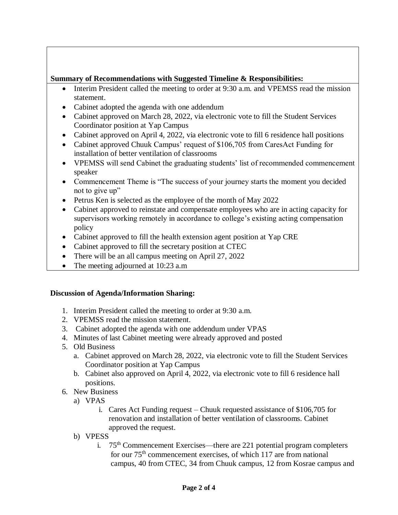### **Summary of Recommendations with Suggested Timeline & Responsibilities:**

- Interim President called the meeting to order at 9:30 a.m. and VPEMSS read the mission statement.
- Cabinet adopted the agenda with one addendum
- Cabinet approved on March 28, 2022, via electronic vote to fill the Student Services Coordinator position at Yap Campus
- Cabinet approved on April 4, 2022, via electronic vote to fill 6 residence hall positions
- Cabinet approved Chuuk Campus' request of \$106,705 from CaresAct Funding for installation of better ventilation of classrooms
- VPEMSS will send Cabinet the graduating students' list of recommended commencement speaker
- Commencement Theme is "The success of your journey starts the moment you decided not to give up"
- Petrus Ken is selected as the employee of the month of May 2022
- Cabinet approved to reinstate and compensate employees who are in acting capacity for supervisors working remotely in accordance to college's existing acting compensation policy
- Cabinet approved to fill the health extension agent position at Yap CRE
- Cabinet approved to fill the secretary position at CTEC
- There will be an all campus meeting on April 27, 2022
- The meeting adjourned at 10:23 a.m

## **Discussion of Agenda/Information Sharing:**

- 1. Interim President called the meeting to order at 9:30 a.m.
- 2. VPEMSS read the mission statement.
- 3. Cabinet adopted the agenda with one addendum under VPAS
- 4. Minutes of last Cabinet meeting were already approved and posted
- 5. Old Business
	- a. Cabinet approved on March 28, 2022, via electronic vote to fill the Student Services Coordinator position at Yap Campus
	- b. Cabinet also approved on April 4, 2022, via electronic vote to fill 6 residence hall positions.
- 6. New Business
	- a) VPAS
		- i. Cares Act Funding request Chuuk requested assistance of \$106,705 for renovation and installation of better ventilation of classrooms. Cabinet approved the request.
	- b) VPESS
		- i.  $75<sup>th</sup>$  Commencement Exercises—there are 221 potential program completers for our  $75<sup>th</sup>$  commencement exercises, of which 117 are from national campus, 40 from CTEC, 34 from Chuuk campus, 12 from Kosrae campus and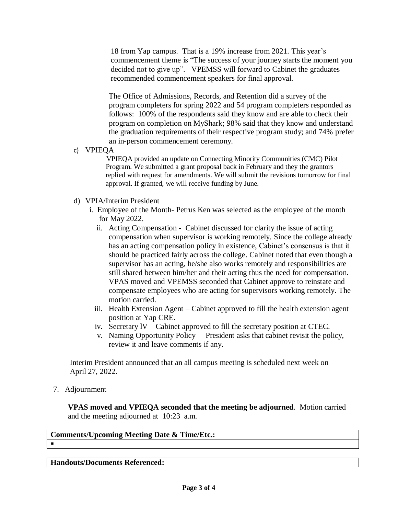18 from Yap campus. That is a 19% increase from 2021. This year's commencement theme is "The success of your journey starts the moment you decided not to give up". VPEMSS will forward to Cabinet the graduates recommended commencement speakers for final approval.

 The Office of Admissions, Records, and Retention did a survey of the program completers for spring 2022 and 54 program completers responded as follows: 100% of the respondents said they know and are able to check their program on completion on MyShark; 98% said that they know and understand the graduation requirements of their respective program study; and 74% prefer an in-person commencement ceremony.

c) VPIEQA

 VPIEQA provided an update on Connecting Minority Communities (CMC) Pilot Program. We submitted a grant proposal back in February and they the grantors replied with request for amendments. We will submit the revisions tomorrow for final approval. If granted, we will receive funding by June.

- d) VPIA/Interim President
	- i. Employee of the Month- Petrus Ken was selected as the employee of the month for May 2022.
		- ii. Acting Compensation Cabinet discussed for clarity the issue of acting compensation when supervisor is working remotely. Since the college already has an acting compensation policy in existence, Cabinet's consensus is that it should be practiced fairly across the college. Cabinet noted that even though a supervisor has an acting, he/she also works remotely and responsibilities are still shared between him/her and their acting thus the need for compensation. VPAS moved and VPEMSS seconded that Cabinet approve to reinstate and compensate employees who are acting for supervisors working remotely. The motion carried.
		- iii. Health Extension Agent Cabinet approved to fill the health extension agent position at Yap CRE.
		- iv. Secretary lV Cabinet approved to fill the secretary position at CTEC.
		- v. Naming Opportunity Policy President asks that cabinet revisit the policy, review it and leave comments if any.

 Interim President announced that an all campus meeting is scheduled next week on April 27, 2022.

7. Adjournment

 **VPAS moved and VPIEQA seconded that the meeting be adjourned**. Motion carried and the meeting adjourned at 10:23 a.m.

**Comments/Upcoming Meeting Date & Time/Etc.:**  $\blacksquare$ 

**Handouts/Documents Referenced:**